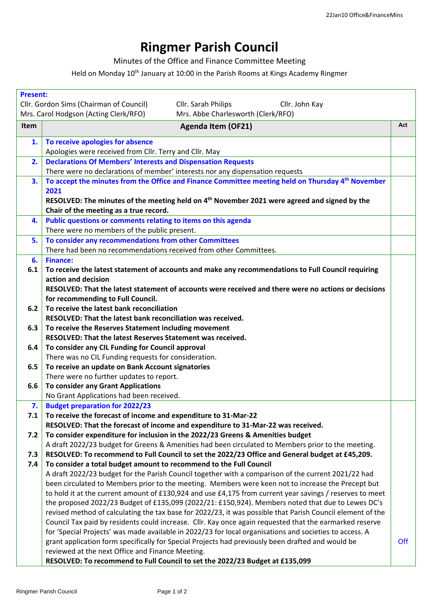## **Ringmer Parish Council**

Minutes of the Office and Finance Committee Meeting

Held on Monday 10<sup>th</sup> January at 10:00 in the Parish Rooms at Kings Academy Ringmer

| <b>Present:</b>                                                             |                                                                                                                       |     |  |
|-----------------------------------------------------------------------------|-----------------------------------------------------------------------------------------------------------------------|-----|--|
|                                                                             | Cllr. Gordon Sims (Chairman of Council)<br>Cllr. Sarah Philips<br>Cllr. John Kay                                      |     |  |
| Mrs. Abbe Charlesworth (Clerk/RFO)<br>Mrs. Carol Hodgson (Acting Clerk/RFO) |                                                                                                                       |     |  |
| Item                                                                        | <b>Agenda Item (OF21)</b>                                                                                             | Act |  |
| 1.                                                                          | To receive apologies for absence                                                                                      |     |  |
|                                                                             | Apologies were received from Cllr. Terry and Cllr. May                                                                |     |  |
| 2.                                                                          | <b>Declarations Of Members' Interests and Dispensation Requests</b>                                                   |     |  |
|                                                                             | There were no declarations of member' interests nor any dispensation requests                                         |     |  |
| 3.                                                                          | To accept the minutes from the Office and Finance Committee meeting held on Thursday 4 <sup>th</sup> November<br>2021 |     |  |
|                                                                             | RESOLVED: The minutes of the meeting held on 4 <sup>th</sup> November 2021 were agreed and signed by the              |     |  |
|                                                                             | Chair of the meeting as a true record.                                                                                |     |  |
| 4.                                                                          | Public questions or comments relating to items on this agenda                                                         |     |  |
|                                                                             | There were no members of the public present.                                                                          |     |  |
| 5.                                                                          | To consider any recommendations from other Committees                                                                 |     |  |
|                                                                             | There had been no recommendations received from other Committees.                                                     |     |  |
| 6.                                                                          | <b>Finance:</b>                                                                                                       |     |  |
| 6.1                                                                         | To receive the latest statement of accounts and make any recommendations to Full Council requiring                    |     |  |
|                                                                             | action and decision                                                                                                   |     |  |
|                                                                             | RESOLVED: That the latest statement of accounts were received and there were no actions or decisions                  |     |  |
|                                                                             | for recommending to Full Council.                                                                                     |     |  |
| 6.2                                                                         | To receive the latest bank reconciliation                                                                             |     |  |
|                                                                             | RESOLVED: That the latest bank reconciliation was received.                                                           |     |  |
| 6.3                                                                         | To receive the Reserves Statement including movement                                                                  |     |  |
|                                                                             | RESOLVED: That the latest Reserves Statement was received.                                                            |     |  |
| 6.4                                                                         | To consider any CIL Funding for Council approval                                                                      |     |  |
|                                                                             | There was no CIL Funding requests for consideration.                                                                  |     |  |
| 6.5                                                                         | To receive an update on Bank Account signatories                                                                      |     |  |
|                                                                             | There were no further updates to report.                                                                              |     |  |
| 6.6                                                                         | <b>To consider any Grant Applications</b>                                                                             |     |  |
|                                                                             | No Grant Applications had been received.                                                                              |     |  |
| 7.                                                                          | <b>Budget preparation for 2022/23</b>                                                                                 |     |  |
| 7.1                                                                         | To receive the forecast of income and expenditure to 31-Mar-22                                                        |     |  |
|                                                                             | RESOLVED: That the forecast of income and expenditure to 31-Mar-22 was received.                                      |     |  |
| 7.2                                                                         | To consider expenditure for inclusion in the 2022/23 Greens & Amenities budget                                        |     |  |
|                                                                             | A draft 2022/23 budget for Greens & Amenities had been circulated to Members prior to the meeting.                    |     |  |
| 7.3                                                                         | RESOLVED: To recommend to Full Council to set the 2022/23 Office and General budget at £45,209.                       |     |  |
| 7.4                                                                         | To consider a total budget amount to recommend to the Full Council                                                    |     |  |
|                                                                             | A draft 2022/23 budget for the Parish Council together with a comparison of the current 2021/22 had                   |     |  |
|                                                                             | been circulated to Members prior to the meeting. Members were keen not to increase the Precept but                    |     |  |
|                                                                             | to hold it at the current amount of £130,924 and use £4,175 from current year savings / reserves to meet              |     |  |
|                                                                             | the proposed 2022/23 Budget of £135,099 (2022/21: £150,924). Members noted that due to Lewes DC's                     |     |  |
|                                                                             | revised method of calculating the tax base for 2022/23, it was possible that Parish Council element of the            |     |  |
|                                                                             | Council Tax paid by residents could increase. Cllr. Kay once again requested that the earmarked reserve               |     |  |
|                                                                             | for 'Special Projects' was made available in 2022/23 for local organisations and societies to access. A               |     |  |
|                                                                             | grant application form specifically for Special Projects had previously been drafted and would be                     | Off |  |
|                                                                             | reviewed at the next Office and Finance Meeting.                                                                      |     |  |
|                                                                             | RESOLVED: To recommend to Full Council to set the 2022/23 Budget at £135,099                                          |     |  |